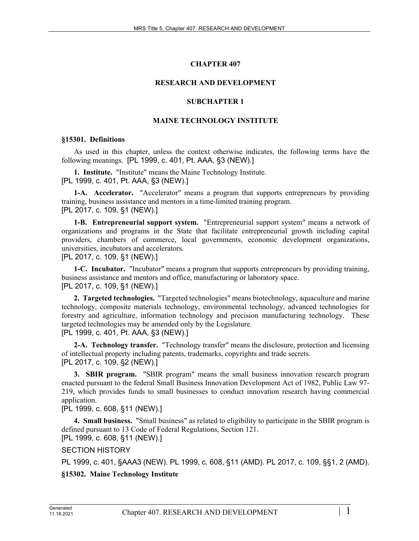# **CHAPTER 407**

#### **RESEARCH AND DEVELOPMENT**

#### **SUBCHAPTER 1**

#### **MAINE TECHNOLOGY INSTITUTE**

#### **§15301. Definitions**

As used in this chapter, unless the context otherwise indicates, the following terms have the following meanings. [PL 1999, c. 401, Pt. AAA, §3 (NEW).]

**1. Institute.** "Institute" means the Maine Technology Institute. [PL 1999, c. 401, Pt. AAA, §3 (NEW).]

**1-A. Accelerator.** "Accelerator" means a program that supports entrepreneurs by providing training, business assistance and mentors in a time-limited training program. [PL 2017, c. 109, §1 (NEW).]

**1-B. Entrepreneurial support system.** "Entrepreneurial support system" means a network of organizations and programs in the State that facilitate entrepreneurial growth including capital providers, chambers of commerce, local governments, economic development organizations, universities, incubators and accelerators.

[PL 2017, c. 109, §1 (NEW).]

**1-C. Incubator.** "Incubator" means a program that supports entrepreneurs by providing training, business assistance and mentors and office, manufacturing or laboratory space. [PL 2017, c. 109, §1 (NEW).]

**2. Targeted technologies.** "Targeted technologies" means biotechnology, aquaculture and marine technology, composite materials technology, environmental technology, advanced technologies for forestry and agriculture, information technology and precision manufacturing technology. These targeted technologies may be amended only by the Legislature. [PL 1999, c. 401, Pt. AAA, §3 (NEW).]

**2-A. Technology transfer.** "Technology transfer" means the disclosure, protection and licensing of intellectual property including patents, trademarks, copyrights and trade secrets. [PL 2017, c. 109, §2 (NEW).]

**3. SBIR program.** "SBIR program" means the small business innovation research program enacted pursuant to the federal Small Business Innovation Development Act of 1982, Public Law 97- 219, which provides funds to small businesses to conduct innovation research having commercial application.

[PL 1999, c. 608, §11 (NEW).]

**4. Small business.** "Small business" as related to eligibility to participate in the SBIR program is defined pursuant to 13 Code of Federal Regulations, Section 121.

[PL 1999, c. 608, §11 (NEW).]

SECTION HISTORY

PL 1999, c. 401, §AAA3 (NEW). PL 1999, c. 608, §11 (AMD). PL 2017, c. 109, §§1, 2 (AMD).

## **§15302. Maine Technology Institute**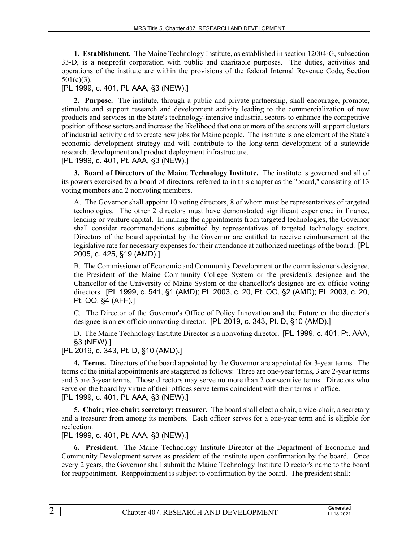**1. Establishment.** The Maine Technology Institute, as established in section 12004‑G, subsection 33‑D, is a nonprofit corporation with public and charitable purposes. The duties, activities and operations of the institute are within the provisions of the federal Internal Revenue Code, Section 501(c)(3).

## [PL 1999, c. 401, Pt. AAA, §3 (NEW).]

**2. Purpose.** The institute, through a public and private partnership, shall encourage, promote, stimulate and support research and development activity leading to the commercialization of new products and services in the State's technology-intensive industrial sectors to enhance the competitive position of those sectors and increase the likelihood that one or more of the sectors will support clusters of industrial activity and to create new jobs for Maine people. The institute is one element of the State's economic development strategy and will contribute to the long-term development of a statewide research, development and product deployment infrastructure.

[PL 1999, c. 401, Pt. AAA, §3 (NEW).]

**3. Board of Directors of the Maine Technology Institute.** The institute is governed and all of its powers exercised by a board of directors, referred to in this chapter as the "board," consisting of 13 voting members and 2 nonvoting members.

A. The Governor shall appoint 10 voting directors, 8 of whom must be representatives of targeted technologies. The other 2 directors must have demonstrated significant experience in finance, lending or venture capital. In making the appointments from targeted technologies, the Governor shall consider recommendations submitted by representatives of targeted technology sectors. Directors of the board appointed by the Governor are entitled to receive reimbursement at the legislative rate for necessary expenses for their attendance at authorized meetings of the board. [PL 2005, c. 425, §19 (AMD).]

B. The Commissioner of Economic and Community Development or the commissioner's designee, the President of the Maine Community College System or the president's designee and the Chancellor of the University of Maine System or the chancellor's designee are ex officio voting directors. [PL 1999, c. 541, §1 (AMD); PL 2003, c. 20, Pt. OO, §2 (AMD); PL 2003, c. 20, Pt. OO, §4 (AFF).]

C. The Director of the Governor's Office of Policy Innovation and the Future or the director's designee is an ex officio nonvoting director. [PL 2019, c. 343, Pt. D, §10 (AMD).]

D. The Maine Technology Institute Director is a nonvoting director. [PL 1999, c. 401, Pt. AAA, §3 (NEW).]

[PL 2019, c. 343, Pt. D, §10 (AMD).]

**4. Terms.** Directors of the board appointed by the Governor are appointed for 3-year terms. The terms of the initial appointments are staggered as follows: Three are one-year terms, 3 are 2-year terms and 3 are 3-year terms. Those directors may serve no more than 2 consecutive terms. Directors who serve on the board by virtue of their offices serve terms coincident with their terms in office. [PL 1999, c. 401, Pt. AAA, §3 (NEW).]

**5. Chair; vice-chair; secretary; treasurer.** The board shall elect a chair, a vice-chair, a secretary and a treasurer from among its members. Each officer serves for a one-year term and is eligible for reelection.

[PL 1999, c. 401, Pt. AAA, §3 (NEW).]

**6. President.** The Maine Technology Institute Director at the Department of Economic and Community Development serves as president of the institute upon confirmation by the board. Once every 2 years, the Governor shall submit the Maine Technology Institute Director's name to the board for reappointment. Reappointment is subject to confirmation by the board. The president shall: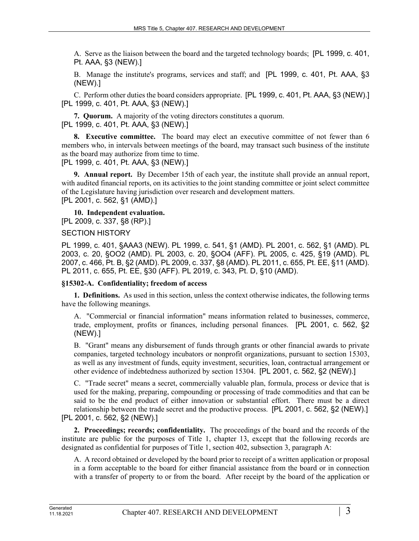A. Serve as the liaison between the board and the targeted technology boards; [PL 1999, c. 401, Pt. AAA, §3 (NEW).]

B. Manage the institute's programs, services and staff; and [PL 1999, c. 401, Pt. AAA, §3 (NEW).]

C. Perform other duties the board considers appropriate. [PL 1999, c. 401, Pt. AAA, §3 (NEW).] [PL 1999, c. 401, Pt. AAA, §3 (NEW).]

**7. Quorum.** A majority of the voting directors constitutes a quorum. [PL 1999, c. 401, Pt. AAA, §3 (NEW).]

**8. Executive committee.** The board may elect an executive committee of not fewer than 6 members who, in intervals between meetings of the board, may transact such business of the institute as the board may authorize from time to time.

[PL 1999, c. 401, Pt. AAA, §3 (NEW).]

**9. Annual report.** By December 15th of each year, the institute shall provide an annual report, with audited financial reports, on its activities to the joint standing committee or joint select committee of the Legislature having jurisdiction over research and development matters. [PL 2001, c. 562, §1 (AMD).]

**10. Independent evaluation.** 

[PL 2009, c. 337, §8 (RP).]

SECTION HISTORY

PL 1999, c. 401, §AAA3 (NEW). PL 1999, c. 541, §1 (AMD). PL 2001, c. 562, §1 (AMD). PL 2003, c. 20, §OO2 (AMD). PL 2003, c. 20, §OO4 (AFF). PL 2005, c. 425, §19 (AMD). PL 2007, c. 466, Pt. B, §2 (AMD). PL 2009, c. 337, §8 (AMD). PL 2011, c. 655, Pt. EE, §11 (AMD). PL 2011, c. 655, Pt. EE, §30 (AFF). PL 2019, c. 343, Pt. D, §10 (AMD).

#### **§15302-A. Confidentiality; freedom of access**

**1. Definitions.** As used in this section, unless the context otherwise indicates, the following terms have the following meanings.

A. "Commercial or financial information" means information related to businesses, commerce, trade, employment, profits or finances, including personal finances. [PL 2001, c. 562, §2 (NEW).]

B. "Grant" means any disbursement of funds through grants or other financial awards to private companies, targeted technology incubators or nonprofit organizations, pursuant to section 15303, as well as any investment of funds, equity investment, securities, loan, contractual arrangement or other evidence of indebtedness authorized by section 15304. [PL 2001, c. 562, §2 (NEW).]

C. "Trade secret" means a secret, commercially valuable plan, formula, process or device that is used for the making, preparing, compounding or processing of trade commodities and that can be said to be the end product of either innovation or substantial effort. There must be a direct relationship between the trade secret and the productive process. [PL 2001, c. 562, §2 (NEW).] [PL 2001, c. 562, §2 (NEW).]

**2. Proceedings; records; confidentiality.** The proceedings of the board and the records of the institute are public for the purposes of Title 1, chapter 13, except that the following records are designated as confidential for purposes of Title 1, section 402, subsection 3, paragraph A:

A. A record obtained or developed by the board prior to receipt of a written application or proposal in a form acceptable to the board for either financial assistance from the board or in connection with a transfer of property to or from the board. After receipt by the board of the application or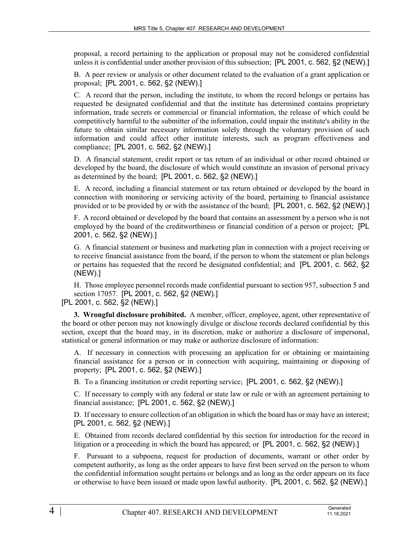proposal, a record pertaining to the application or proposal may not be considered confidential unless it is confidential under another provision of this subsection; [PL 2001, c. 562, §2 (NEW).]

B. A peer review or analysis or other document related to the evaluation of a grant application or proposal; [PL 2001, c. 562, §2 (NEW).]

C. A record that the person, including the institute, to whom the record belongs or pertains has requested be designated confidential and that the institute has determined contains proprietary information, trade secrets or commercial or financial information, the release of which could be competitively harmful to the submitter of the information, could impair the institute's ability in the future to obtain similar necessary information solely through the voluntary provision of such information and could affect other institute interests, such as program effectiveness and compliance; [PL 2001, c. 562, §2 (NEW).]

D. A financial statement, credit report or tax return of an individual or other record obtained or developed by the board, the disclosure of which would constitute an invasion of personal privacy as determined by the board; [PL 2001, c. 562, §2 (NEW).]

E. A record, including a financial statement or tax return obtained or developed by the board in connection with monitoring or servicing activity of the board, pertaining to financial assistance provided or to be provided by or with the assistance of the board; [PL 2001, c. 562, §2 (NEW).]

F. A record obtained or developed by the board that contains an assessment by a person who is not employed by the board of the creditworthiness or financial condition of a person or project; [PL 2001, c. 562, §2 (NEW).]

G. A financial statement or business and marketing plan in connection with a project receiving or to receive financial assistance from the board, if the person to whom the statement or plan belongs or pertains has requested that the record be designated confidential; and [PL 2001, c. 562, §2 (NEW).]

H. Those employee personnel records made confidential pursuant to section 957, subsection 5 and section 17057. [PL 2001, c. 562, §2 (NEW).]

#### [PL 2001, c. 562, §2 (NEW).]

**3. Wrongful disclosure prohibited.** A member, officer, employee, agent, other representative of the board or other person may not knowingly divulge or disclose records declared confidential by this section, except that the board may, in its discretion, make or authorize a disclosure of impersonal, statistical or general information or may make or authorize disclosure of information:

A. If necessary in connection with processing an application for or obtaining or maintaining financial assistance for a person or in connection with acquiring, maintaining or disposing of property; [PL 2001, c. 562, §2 (NEW).]

B. To a financing institution or credit reporting service; [PL 2001, c. 562, §2 (NEW).]

C. If necessary to comply with any federal or state law or rule or with an agreement pertaining to financial assistance; [PL 2001, c. 562, §2 (NEW).]

D. If necessary to ensure collection of an obligation in which the board has or may have an interest; [PL 2001, c. 562, §2 (NEW).]

E. Obtained from records declared confidential by this section for introduction for the record in litigation or a proceeding in which the board has appeared; or [PL 2001, c. 562, §2 (NEW).]

F. Pursuant to a subpoena, request for production of documents, warrant or other order by competent authority, as long as the order appears to have first been served on the person to whom the confidential information sought pertains or belongs and as long as the order appears on its face or otherwise to have been issued or made upon lawful authority. [PL 2001, c. 562, §2 (NEW).]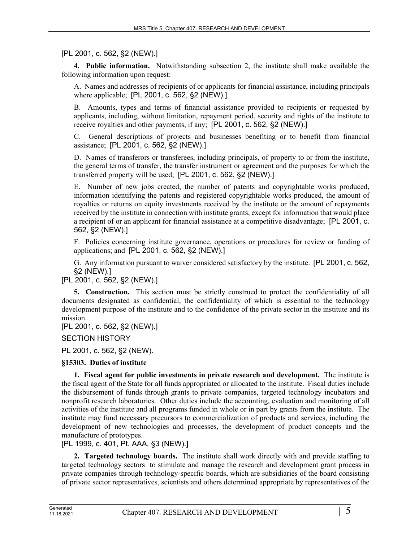[PL 2001, c. 562, §2 (NEW).]

**4. Public information.** Notwithstanding subsection 2, the institute shall make available the following information upon request:

A. Names and addresses of recipients of or applicants for financial assistance, including principals where applicable; [PL 2001, c. 562, §2 (NEW).]

B. Amounts, types and terms of financial assistance provided to recipients or requested by applicants, including, without limitation, repayment period, security and rights of the institute to receive royalties and other payments, if any; [PL 2001, c. 562, §2 (NEW).]

C. General descriptions of projects and businesses benefiting or to benefit from financial assistance; [PL 2001, c. 562, §2 (NEW).]

D. Names of transferors or transferees, including principals, of property to or from the institute, the general terms of transfer, the transfer instrument or agreement and the purposes for which the transferred property will be used; [PL 2001, c. 562, §2 (NEW).]

E. Number of new jobs created, the number of patents and copyrightable works produced, information identifying the patents and registered copyrightable works produced, the amount of royalties or returns on equity investments received by the institute or the amount of repayments received by the institute in connection with institute grants, except for information that would place a recipient of or an applicant for financial assistance at a competitive disadvantage; [PL 2001, c. 562, §2 (NEW).]

F. Policies concerning institute governance, operations or procedures for review or funding of applications; and [PL 2001, c. 562, §2 (NEW).]

G. Any information pursuant to waiver considered satisfactory by the institute. [PL 2001, c. 562, §2 (NEW).]

[PL 2001, c. 562, §2 (NEW).]

**5. Construction.** This section must be strictly construed to protect the confidentiality of all documents designated as confidential, the confidentiality of which is essential to the technology development purpose of the institute and to the confidence of the private sector in the institute and its mission.

[PL 2001, c. 562, §2 (NEW).]

SECTION HISTORY

PL 2001, c. 562, §2 (NEW).

# **§15303. Duties of institute**

**1. Fiscal agent for public investments in private research and development.** The institute is the fiscal agent of the State for all funds appropriated or allocated to the institute. Fiscal duties include the disbursement of funds through grants to private companies, targeted technology incubators and nonprofit research laboratories. Other duties include the accounting, evaluation and monitoring of all activities of the institute and all programs funded in whole or in part by grants from the institute. The institute may fund necessary precursors to commercialization of products and services, including the development of new technologies and processes, the development of product concepts and the manufacture of prototypes.

[PL 1999, c. 401, Pt. AAA, §3 (NEW).]

**2. Targeted technology boards.** The institute shall work directly with and provide staffing to targeted technology sectors to stimulate and manage the research and development grant process in private companies through technology-specific boards, which are subsidiaries of the board consisting of private sector representatives, scientists and others determined appropriate by representatives of the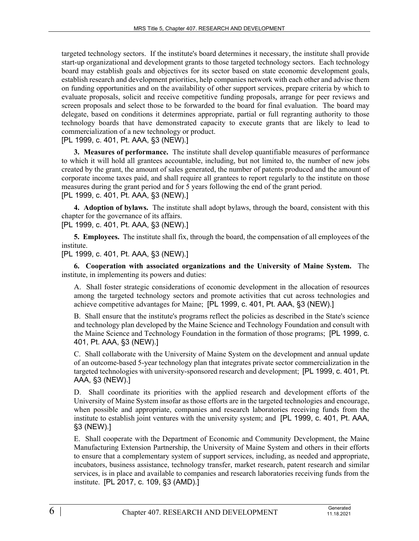targeted technology sectors. If the institute's board determines it necessary, the institute shall provide start-up organizational and development grants to those targeted technology sectors. Each technology board may establish goals and objectives for its sector based on state economic development goals, establish research and development priorities, help companies network with each other and advise them on funding opportunities and on the availability of other support services, prepare criteria by which to evaluate proposals, solicit and receive competitive funding proposals, arrange for peer reviews and screen proposals and select those to be forwarded to the board for final evaluation. The board may delegate, based on conditions it determines appropriate, partial or full regranting authority to those technology boards that have demonstrated capacity to execute grants that are likely to lead to commercialization of a new technology or product.

[PL 1999, c. 401, Pt. AAA, §3 (NEW).]

**3. Measures of performance.** The institute shall develop quantifiable measures of performance to which it will hold all grantees accountable, including, but not limited to, the number of new jobs created by the grant, the amount of sales generated, the number of patents produced and the amount of corporate income taxes paid, and shall require all grantees to report regularly to the institute on those measures during the grant period and for 5 years following the end of the grant period. [PL 1999, c. 401, Pt. AAA, §3 (NEW).]

**4. Adoption of bylaws.** The institute shall adopt bylaws, through the board, consistent with this chapter for the governance of its affairs.

[PL 1999, c. 401, Pt. AAA, §3 (NEW).]

**5. Employees.** The institute shall fix, through the board, the compensation of all employees of the institute.

[PL 1999, c. 401, Pt. AAA, §3 (NEW).]

**6. Cooperation with associated organizations and the University of Maine System.** The institute, in implementing its powers and duties:

A. Shall foster strategic considerations of economic development in the allocation of resources among the targeted technology sectors and promote activities that cut across technologies and achieve competitive advantages for Maine; [PL 1999, c. 401, Pt. AAA, §3 (NEW).]

B. Shall ensure that the institute's programs reflect the policies as described in the State's science and technology plan developed by the Maine Science and Technology Foundation and consult with the Maine Science and Technology Foundation in the formation of those programs; [PL 1999, c. 401, Pt. AAA, §3 (NEW).]

C. Shall collaborate with the University of Maine System on the development and annual update of an outcome-based 5-year technology plan that integrates private sector commercialization in the targeted technologies with university-sponsored research and development; [PL 1999, c. 401, Pt. AAA, §3 (NEW).]

D. Shall coordinate its priorities with the applied research and development efforts of the University of Maine System insofar as those efforts are in the targeted technologies and encourage, when possible and appropriate, companies and research laboratories receiving funds from the institute to establish joint ventures with the university system; and [PL 1999, c. 401, Pt. AAA, §3 (NEW).]

E. Shall cooperate with the Department of Economic and Community Development, the Maine Manufacturing Extension Partnership, the University of Maine System and others in their efforts to ensure that a complementary system of support services, including, as needed and appropriate, incubators, business assistance, technology transfer, market research, patent research and similar services, is in place and available to companies and research laboratories receiving funds from the institute. [PL 2017, c. 109, §3 (AMD).]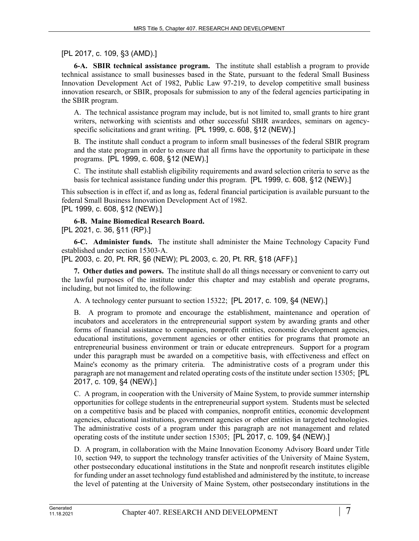# [PL 2017, c. 109, §3 (AMD).]

**6-A. SBIR technical assistance program.** The institute shall establish a program to provide technical assistance to small businesses based in the State, pursuant to the federal Small Business Innovation Development Act of 1982, Public Law 97-219, to develop competitive small business innovation research, or SBIR, proposals for submission to any of the federal agencies participating in the SBIR program.

A. The technical assistance program may include, but is not limited to, small grants to hire grant writers, networking with scientists and other successful SBIR awardees, seminars on agencyspecific solicitations and grant writing. [PL 1999, c. 608, §12 (NEW).]

B. The institute shall conduct a program to inform small businesses of the federal SBIR program and the state program in order to ensure that all firms have the opportunity to participate in these programs. [PL 1999, c. 608, §12 (NEW).]

C. The institute shall establish eligibility requirements and award selection criteria to serve as the basis for technical assistance funding under this program. [PL 1999, c. 608, §12 (NEW).]

This subsection is in effect if, and as long as, federal financial participation is available pursuant to the federal Small Business Innovation Development Act of 1982. [PL 1999, c. 608, §12 (NEW).]

**6-B. Maine Biomedical Research Board.**  [PL 2021, c. 36, §11 (RP).]

**6-C. Administer funds.** The institute shall administer the Maine Technology Capacity Fund established under section 15303‑A.

[PL 2003, c. 20, Pt. RR, §6 (NEW); PL 2003, c. 20, Pt. RR, §18 (AFF).]

**7. Other duties and powers.** The institute shall do all things necessary or convenient to carry out the lawful purposes of the institute under this chapter and may establish and operate programs, including, but not limited to, the following:

A. A technology center pursuant to section 15322; [PL 2017, c. 109, §4 (NEW).]

B. A program to promote and encourage the establishment, maintenance and operation of incubators and accelerators in the entrepreneurial support system by awarding grants and other forms of financial assistance to companies, nonprofit entities, economic development agencies, educational institutions, government agencies or other entities for programs that promote an entrepreneurial business environment or train or educate entrepreneurs. Support for a program under this paragraph must be awarded on a competitive basis, with effectiveness and effect on Maine's economy as the primary criteria. The administrative costs of a program under this paragraph are not management and related operating costs of the institute under section 15305; [PL 2017, c. 109, §4 (NEW).]

C. A program, in cooperation with the University of Maine System, to provide summer internship opportunities for college students in the entrepreneurial support system. Students must be selected on a competitive basis and be placed with companies, nonprofit entities, economic development agencies, educational institutions, government agencies or other entities in targeted technologies. The administrative costs of a program under this paragraph are not management and related operating costs of the institute under section 15305; [PL 2017, c. 109, §4 (NEW).]

D. A program, in collaboration with the Maine Innovation Economy Advisory Board under Title 10, section 949, to support the technology transfer activities of the University of Maine System, other postsecondary educational institutions in the State and nonprofit research institutes eligible for funding under an asset technology fund established and administered by the institute, to increase the level of patenting at the University of Maine System, other postsecondary institutions in the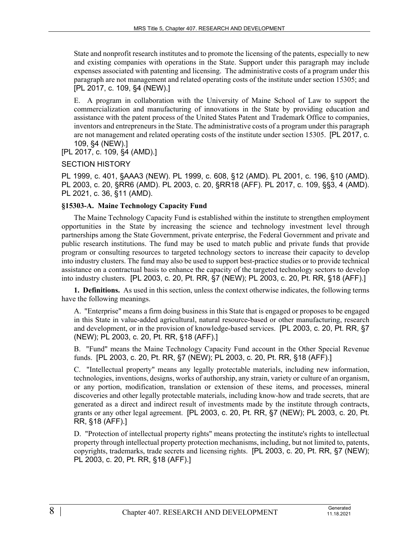State and nonprofit research institutes and to promote the licensing of the patents, especially to new and existing companies with operations in the State. Support under this paragraph may include expenses associated with patenting and licensing. The administrative costs of a program under this paragraph are not management and related operating costs of the institute under section 15305; and [PL 2017, c. 109, §4 (NEW).]

E. A program in collaboration with the University of Maine School of Law to support the commercialization and manufacturing of innovations in the State by providing education and assistance with the patent process of the United States Patent and Trademark Office to companies, inventors and entrepreneurs in the State. The administrative costs of a program under this paragraph are not management and related operating costs of the institute under section 15305. [PL 2017, c. 109, §4 (NEW).]

[PL 2017, c. 109, §4 (AMD).]

## SECTION HISTORY

PL 1999, c. 401, §AAA3 (NEW). PL 1999, c. 608, §12 (AMD). PL 2001, c. 196, §10 (AMD). PL 2003, c. 20, §RR6 (AMD). PL 2003, c. 20, §RR18 (AFF). PL 2017, c. 109, §§3, 4 (AMD). PL 2021, c. 36, §11 (AMD).

#### **§15303-A. Maine Technology Capacity Fund**

The Maine Technology Capacity Fund is established within the institute to strengthen employment opportunities in the State by increasing the science and technology investment level through partnerships among the State Government, private enterprise, the Federal Government and private and public research institutions. The fund may be used to match public and private funds that provide program or consulting resources to targeted technology sectors to increase their capacity to develop into industry clusters. The fund may also be used to support best-practice studies or to provide technical assistance on a contractual basis to enhance the capacity of the targeted technology sectors to develop into industry clusters. [PL 2003, c. 20, Pt. RR, §7 (NEW); PL 2003, c. 20, Pt. RR, §18 (AFF).]

**1. Definitions.** As used in this section, unless the context otherwise indicates, the following terms have the following meanings.

A. "Enterprise" means a firm doing business in this State that is engaged or proposes to be engaged in this State in value-added agricultural, natural resource-based or other manufacturing, research and development, or in the provision of knowledge-based services. [PL 2003, c. 20, Pt. RR, §7 (NEW); PL 2003, c. 20, Pt. RR, §18 (AFF).]

B. "Fund" means the Maine Technology Capacity Fund account in the Other Special Revenue funds. [PL 2003, c. 20, Pt. RR, §7 (NEW); PL 2003, c. 20, Pt. RR, §18 (AFF).]

C. "Intellectual property" means any legally protectable materials, including new information, technologies, inventions, designs, works of authorship, any strain, variety or culture of an organism, or any portion, modification, translation or extension of these items, and processes, mineral discoveries and other legally protectable materials, including know-how and trade secrets, that are generated as a direct and indirect result of investments made by the institute through contracts, grants or any other legal agreement. [PL 2003, c. 20, Pt. RR, §7 (NEW); PL 2003, c. 20, Pt. RR, §18 (AFF).]

D. "Protection of intellectual property rights" means protecting the institute's rights to intellectual property through intellectual property protection mechanisms, including, but not limited to, patents, copyrights, trademarks, trade secrets and licensing rights. [PL 2003, c. 20, Pt. RR, §7 (NEW); PL 2003, c. 20, Pt. RR, §18 (AFF).]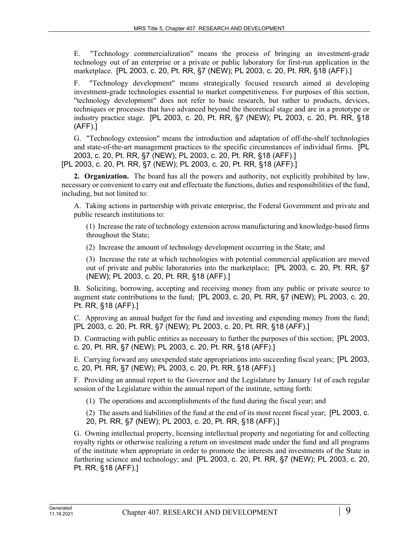E. "Technology commercialization" means the process of bringing an investment-grade technology out of an enterprise or a private or public laboratory for first-run application in the marketplace. [PL 2003, c. 20, Pt. RR, §7 (NEW); PL 2003, c. 20, Pt. RR, §18 (AFF).]

F. "Technology development" means strategically focused research aimed at developing investment-grade technologies essential to market competitiveness. For purposes of this section, "technology development" does not refer to basic research, but rather to products, devices, techniques or processes that have advanced beyond the theoretical stage and are in a prototype or industry practice stage. [PL 2003, c. 20, Pt. RR, §7 (NEW); PL 2003, c. 20, Pt. RR, §18 (AFF).]

G. "Technology extension" means the introduction and adaptation of off-the-shelf technologies and state-of-the-art management practices to the specific circumstances of individual firms. [PL 2003, c. 20, Pt. RR, §7 (NEW); PL 2003, c. 20, Pt. RR, §18 (AFF).]

[PL 2003, c. 20, Pt. RR, §7 (NEW); PL 2003, c. 20, Pt. RR, §18 (AFF).]

**2. Organization.** The board has all the powers and authority, not explicitly prohibited by law, necessary or convenient to carry out and effectuate the functions, duties and responsibilities of the fund, including, but not limited to:

A. Taking actions in partnership with private enterprise, the Federal Government and private and public research institutions to:

(1) Increase the rate of technology extension across manufacturing and knowledge-based firms throughout the State;

(2) Increase the amount of technology development occurring in the State; and

(3) Increase the rate at which technologies with potential commercial application are moved out of private and public laboratories into the marketplace; [PL 2003, c. 20, Pt. RR, §7 (NEW); PL 2003, c. 20, Pt. RR, §18 (AFF).]

B. Soliciting, borrowing, accepting and receiving money from any public or private source to augment state contributions to the fund; [PL 2003, c. 20, Pt. RR, §7 (NEW); PL 2003, c. 20, Pt. RR, §18 (AFF).]

C. Approving an annual budget for the fund and investing and expending money from the fund; [PL 2003, c. 20, Pt. RR, §7 (NEW); PL 2003, c. 20, Pt. RR, §18 (AFF).]

D. Contracting with public entities as necessary to further the purposes of this section; [PL 2003, c. 20, Pt. RR, §7 (NEW); PL 2003, c. 20, Pt. RR, §18 (AFF).]

E. Carrying forward any unexpended state appropriations into succeeding fiscal years; [PL 2003, c. 20, Pt. RR, §7 (NEW); PL 2003, c. 20, Pt. RR, §18 (AFF).]

F. Providing an annual report to the Governor and the Legislature by January 1st of each regular session of the Legislature within the annual report of the institute, setting forth:

(1) The operations and accomplishments of the fund during the fiscal year; and

(2) The assets and liabilities of the fund at the end of its most recent fiscal year; [PL 2003, c. 20, Pt. RR, §7 (NEW); PL 2003, c. 20, Pt. RR, §18 (AFF).]

G. Owning intellectual property, licensing intellectual property and negotiating for and collecting royalty rights or otherwise realizing a return on investment made under the fund and all programs of the institute when appropriate in order to promote the interests and investments of the State in furthering science and technology; and [PL 2003, c. 20, Pt. RR, §7 (NEW); PL 2003, c. 20, Pt. RR, §18 (AFF).]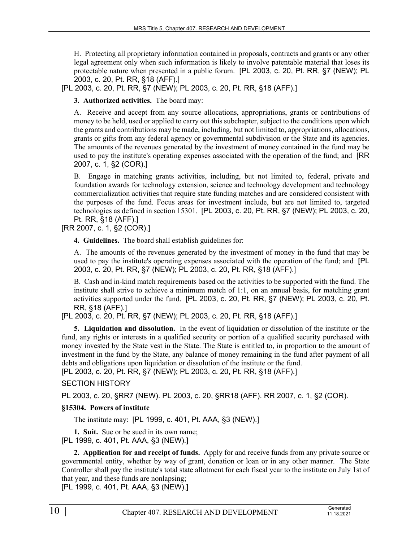H. Protecting all proprietary information contained in proposals, contracts and grants or any other legal agreement only when such information is likely to involve patentable material that loses its protectable nature when presented in a public forum. [PL 2003, c. 20, Pt. RR, §7 (NEW); PL 2003, c. 20, Pt. RR, §18 (AFF).]

[PL 2003, c. 20, Pt. RR, §7 (NEW); PL 2003, c. 20, Pt. RR, §18 (AFF).]

**3. Authorized activities.** The board may:

A. Receive and accept from any source allocations, appropriations, grants or contributions of money to be held, used or applied to carry out this subchapter, subject to the conditions upon which the grants and contributions may be made, including, but not limited to, appropriations, allocations, grants or gifts from any federal agency or governmental subdivision or the State and its agencies. The amounts of the revenues generated by the investment of money contained in the fund may be used to pay the institute's operating expenses associated with the operation of the fund; and [RR 2007, c. 1, §2 (COR).]

B. Engage in matching grants activities, including, but not limited to, federal, private and foundation awards for technology extension, science and technology development and technology commercialization activities that require state funding matches and are considered consistent with the purposes of the fund. Focus areas for investment include, but are not limited to, targeted technologies as defined in section 15301. [PL 2003, c. 20, Pt. RR, §7 (NEW); PL 2003, c. 20, Pt. RR, §18 (AFF).]

[RR 2007, c. 1, §2 (COR).]

**4. Guidelines.** The board shall establish guidelines for:

A. The amounts of the revenues generated by the investment of money in the fund that may be used to pay the institute's operating expenses associated with the operation of the fund; and [PL 2003, c. 20, Pt. RR, §7 (NEW); PL 2003, c. 20, Pt. RR, §18 (AFF).]

B. Cash and in-kind match requirements based on the activities to be supported with the fund. The institute shall strive to achieve a minimum match of 1:1, on an annual basis, for matching grant activities supported under the fund. [PL 2003, c. 20, Pt. RR, §7 (NEW); PL 2003, c. 20, Pt. RR, §18 (AFF).]

[PL 2003, c. 20, Pt. RR, §7 (NEW); PL 2003, c. 20, Pt. RR, §18 (AFF).]

**5. Liquidation and dissolution.** In the event of liquidation or dissolution of the institute or the fund, any rights or interests in a qualified security or portion of a qualified security purchased with money invested by the State vest in the State. The State is entitled to, in proportion to the amount of investment in the fund by the State, any balance of money remaining in the fund after payment of all debts and obligations upon liquidation or dissolution of the institute or the fund.

[PL 2003, c. 20, Pt. RR, §7 (NEW); PL 2003, c. 20, Pt. RR, §18 (AFF).]

# SECTION HISTORY

PL 2003, c. 20, §RR7 (NEW). PL 2003, c. 20, §RR18 (AFF). RR 2007, c. 1, §2 (COR).

## **§15304. Powers of institute**

The institute may: [PL 1999, c. 401, Pt. AAA, §3 (NEW).]

**1. Suit.** Sue or be sued in its own name;

[PL 1999, c. 401, Pt. AAA, §3 (NEW).]

**2. Application for and receipt of funds.** Apply for and receive funds from any private source or governmental entity, whether by way of grant, donation or loan or in any other manner. The State Controller shall pay the institute's total state allotment for each fiscal year to the institute on July 1st of that year, and these funds are nonlapsing;

[PL 1999, c. 401, Pt. AAA, §3 (NEW).]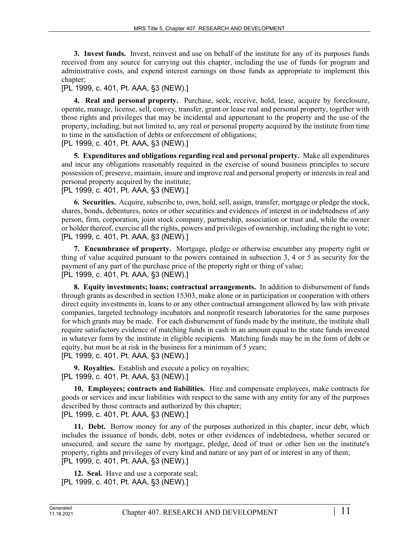**3. Invest funds.** Invest, reinvest and use on behalf of the institute for any of its purposes funds received from any source for carrying out this chapter, including the use of funds for program and administrative costs, and expend interest earnings on those funds as appropriate to implement this chapter;

# [PL 1999, c. 401, Pt. AAA, §3 (NEW).]

**4. Real and personal property.** Purchase, seek, receive, hold, lease, acquire by foreclosure, operate, manage, license, sell, convey, transfer, grant or lease real and personal property, together with those rights and privileges that may be incidental and appurtenant to the property and the use of the property, including, but not limited to, any real or personal property acquired by the institute from time to time in the satisfaction of debts or enforcement of obligations;

[PL 1999, c. 401, Pt. AAA, §3 (NEW).]

**5. Expenditures and obligations regarding real and personal property.** Make all expenditures and incur any obligations reasonably required in the exercise of sound business principles to secure possession of, preserve, maintain, insure and improve real and personal property or interests in real and personal property acquired by the institute;

[PL 1999, c. 401, Pt. AAA, §3 (NEW).]

**6. Securities.** Acquire, subscribe to, own, hold, sell, assign, transfer, mortgage or pledge the stock, shares, bonds, debentures, notes or other securities and evidences of interest in or indebtedness of any person, firm, corporation, joint stock company, partnership, association or trust and, while the owner or holder thereof, exercise all the rights, powers and privileges of ownership, including the right to vote; [PL 1999, c. 401, Pt. AAA, §3 (NEW).]

**7. Encumbrance of property.** Mortgage, pledge or otherwise encumber any property right or thing of value acquired pursuant to the powers contained in subsection 3, 4 or 5 as security for the payment of any part of the purchase price of the property right or thing of value; [PL 1999, c. 401, Pt. AAA, §3 (NEW).]

**8. Equity investments; loans; contractual arrangements.** In addition to disbursement of funds through grants as described in section 15303, make alone or in participation or cooperation with others direct equity investments in, loans to or any other contractual arrangement allowed by law with private companies, targeted technology incubators and nonprofit research laboratories for the same purposes for which grants may be made. For each disbursement of funds made by the institute, the institute shall require satisfactory evidence of matching funds in cash in an amount equal to the state funds invested in whatever form by the institute in eligible recipients. Matching funds may be in the form of debt or equity, but must be at risk in the business for a minimum of 5 years; [PL 1999, c. 401, Pt. AAA, §3 (NEW).]

**9. Royalties.** Establish and execute a policy on royalties; [PL 1999, c. 401, Pt. AAA, §3 (NEW).]

**10. Employees; contracts and liabilities.** Hire and compensate employees, make contracts for goods or services and incur liabilities with respect to the same with any entity for any of the purposes described by those contracts and authorized by this chapter; [PL 1999, c. 401, Pt. AAA, §3 (NEW).]

**11. Debt.** Borrow money for any of the purposes authorized in this chapter, incur debt, which includes the issuance of bonds, debt, notes or other evidences of indebtedness, whether secured or unsecured, and secure the same by mortgage, pledge, deed of trust or other lien on the institute's property, rights and privileges of every kind and nature or any part of or interest in any of them; [PL 1999, c. 401, Pt. AAA, §3 (NEW).]

**12. Seal.** Have and use a corporate seal; [PL 1999, c. 401, Pt. AAA, §3 (NEW).]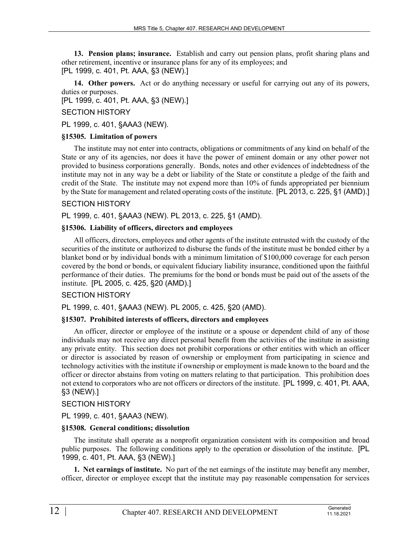**13. Pension plans; insurance.** Establish and carry out pension plans, profit sharing plans and other retirement, incentive or insurance plans for any of its employees; and [PL 1999, c. 401, Pt. AAA, §3 (NEW).]

**14. Other powers.** Act or do anything necessary or useful for carrying out any of its powers, duties or purposes.

[PL 1999, c. 401, Pt. AAA, §3 (NEW).]

SECTION HISTORY

PL 1999, c. 401, §AAA3 (NEW).

#### **§15305. Limitation of powers**

The institute may not enter into contracts, obligations or commitments of any kind on behalf of the State or any of its agencies, nor does it have the power of eminent domain or any other power not provided to business corporations generally. Bonds, notes and other evidences of indebtedness of the institute may not in any way be a debt or liability of the State or constitute a pledge of the faith and credit of the State. The institute may not expend more than 10% of funds appropriated per biennium by the State for management and related operating costs of the institute. [PL 2013, c. 225, §1 (AMD).]

#### SECTION HISTORY

PL 1999, c. 401, §AAA3 (NEW). PL 2013, c. 225, §1 (AMD).

#### **§15306. Liability of officers, directors and employees**

All officers, directors, employees and other agents of the institute entrusted with the custody of the securities of the institute or authorized to disburse the funds of the institute must be bonded either by a blanket bond or by individual bonds with a minimum limitation of \$100,000 coverage for each person covered by the bond or bonds, or equivalent fiduciary liability insurance, conditioned upon the faithful performance of their duties. The premiums for the bond or bonds must be paid out of the assets of the institute. [PL 2005, c. 425, §20 (AMD).]

## SECTION HISTORY

PL 1999, c. 401, §AAA3 (NEW). PL 2005, c. 425, §20 (AMD).

## **§15307. Prohibited interests of officers, directors and employees**

An officer, director or employee of the institute or a spouse or dependent child of any of those individuals may not receive any direct personal benefit from the activities of the institute in assisting any private entity. This section does not prohibit corporations or other entities with which an officer or director is associated by reason of ownership or employment from participating in science and technology activities with the institute if ownership or employment is made known to the board and the officer or director abstains from voting on matters relating to that participation. This prohibition does not extend to corporators who are not officers or directors of the institute. [PL 1999, c. 401, Pt. AAA, §3 (NEW).]

#### SECTION HISTORY

PL 1999, c. 401, §AAA3 (NEW).

## **§15308. General conditions; dissolution**

The institute shall operate as a nonprofit organization consistent with its composition and broad public purposes. The following conditions apply to the operation or dissolution of the institute. [PL 1999, c. 401, Pt. AAA, §3 (NEW).]

**1. Net earnings of institute.** No part of the net earnings of the institute may benefit any member, officer, director or employee except that the institute may pay reasonable compensation for services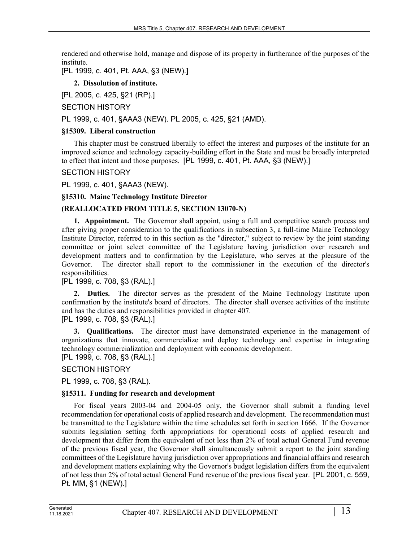rendered and otherwise hold, manage and dispose of its property in furtherance of the purposes of the institute.

[PL 1999, c. 401, Pt. AAA, §3 (NEW).]

# **2. Dissolution of institute.**

[PL 2005, c. 425, §21 (RP).]

# SECTION HISTORY

PL 1999, c. 401, §AAA3 (NEW). PL 2005, c. 425, §21 (AMD).

# **§15309. Liberal construction**

This chapter must be construed liberally to effect the interest and purposes of the institute for an improved science and technology capacity-building effort in the State and must be broadly interpreted to effect that intent and those purposes. [PL 1999, c. 401, Pt. AAA, §3 (NEW).]

## SECTION HISTORY

PL 1999, c. 401, §AAA3 (NEW).

## **§15310. Maine Technology Institute Director**

# **(REALLOCATED FROM TITLE 5, SECTION 13070-N)**

**1. Appointment.** The Governor shall appoint, using a full and competitive search process and after giving proper consideration to the qualifications in subsection 3, a full-time Maine Technology Institute Director, referred to in this section as the "director," subject to review by the joint standing committee or joint select committee of the Legislature having jurisdiction over research and development matters and to confirmation by the Legislature, who serves at the pleasure of the Governor. The director shall report to the commissioner in the execution of the director's responsibilities.

# [PL 1999, c. 708, §3 (RAL).]

**2. Duties.** The director serves as the president of the Maine Technology Institute upon confirmation by the institute's board of directors. The director shall oversee activities of the institute and has the duties and responsibilities provided in chapter 407.

[PL 1999, c. 708, §3 (RAL).]

**3. Qualifications.** The director must have demonstrated experience in the management of organizations that innovate, commercialize and deploy technology and expertise in integrating technology commercialization and deployment with economic development.

[PL 1999, c. 708, §3 (RAL).]

SECTION HISTORY

PL 1999, c. 708, §3 (RAL).

## **§15311. Funding for research and development**

For fiscal years 2003-04 and 2004-05 only, the Governor shall submit a funding level recommendation for operational costs of applied research and development. The recommendation must be transmitted to the Legislature within the time schedules set forth in section 1666. If the Governor submits legislation setting forth appropriations for operational costs of applied research and development that differ from the equivalent of not less than 2% of total actual General Fund revenue of the previous fiscal year, the Governor shall simultaneously submit a report to the joint standing committees of the Legislature having jurisdiction over appropriations and financial affairs and research and development matters explaining why the Governor's budget legislation differs from the equivalent of not less than 2% of total actual General Fund revenue of the previous fiscal year. [PL 2001, c. 559, Pt. MM, §1 (NEW).]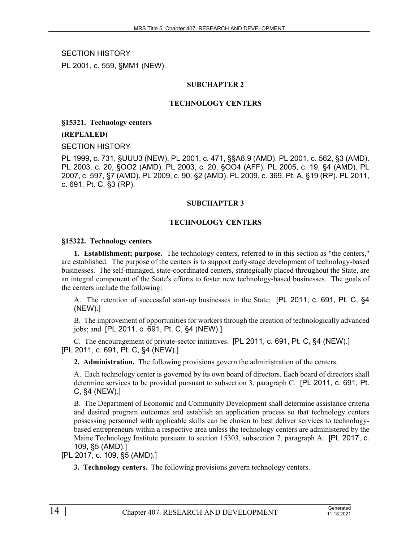SECTION HISTORY PL 2001, c. 559, §MM1 (NEW).

## **SUBCHAPTER 2**

#### **TECHNOLOGY CENTERS**

**§15321. Technology centers**

#### **(REPEALED)**

SECTION HISTORY

PL 1999, c. 731, §UUU3 (NEW). PL 2001, c. 471, §§A8,9 (AMD). PL 2001, c. 562, §3 (AMD). PL 2003, c. 20, §OO2 (AMD). PL 2003, c. 20, §OO4 (AFF). PL 2005, c. 19, §4 (AMD). PL 2007, c. 597, §7 (AMD). PL 2009, c. 90, §2 (AMD). PL 2009, c. 369, Pt. A, §19 (RP). PL 2011, c. 691, Pt. C, §3 (RP).

#### **SUBCHAPTER 3**

#### **TECHNOLOGY CENTERS**

#### **§15322. Technology centers**

**1. Establishment; purpose.** The technology centers, referred to in this section as "the centers," are established. The purpose of the centers is to support early-stage development of technology-based businesses. The self-managed, state-coordinated centers, strategically placed throughout the State, are an integral component of the State's efforts to foster new technology-based businesses. The goals of the centers include the following:

A. The retention of successful start-up businesses in the State; [PL 2011, c. 691, Pt. C, §4 (NEW).]

B. The improvement of opportunities for workers through the creation of technologically advanced jobs; and [PL 2011, c. 691, Pt. C, §4 (NEW).]

C. The encouragement of private-sector initiatives. [PL 2011, c. 691, Pt. C, §4 (NEW).] [PL 2011, c. 691, Pt. C, §4 (NEW).]

**2. Administration.** The following provisions govern the administration of the centers.

A. Each technology center is governed by its own board of directors. Each board of directors shall determine services to be provided pursuant to subsection 3, paragraph C. [PL 2011, c. 691, Pt. C, §4 (NEW).]

B. The Department of Economic and Community Development shall determine assistance criteria and desired program outcomes and establish an application process so that technology centers possessing personnel with applicable skills can be chosen to best deliver services to technologybased entrepreneurs within a respective area unless the technology centers are administered by the Maine Technology Institute pursuant to section 15303, subsection 7, paragraph A. [PL 2017, c. 109, §5 (AMD).]

[PL 2017, c. 109, §5 (AMD).]

**3. Technology centers.** The following provisions govern technology centers.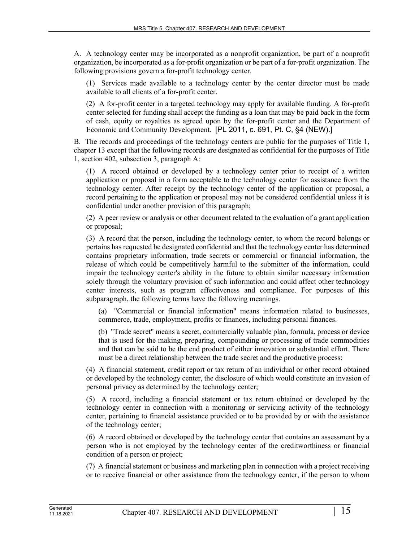A. A technology center may be incorporated as a nonprofit organization, be part of a nonprofit organization, be incorporated as a for-profit organization or be part of a for-profit organization. The following provisions govern a for-profit technology center.

(1) Services made available to a technology center by the center director must be made available to all clients of a for-profit center.

(2) A for-profit center in a targeted technology may apply for available funding. A for-profit center selected for funding shall accept the funding as a loan that may be paid back in the form of cash, equity or royalties as agreed upon by the for-profit center and the Department of Economic and Community Development. [PL 2011, c. 691, Pt. C, §4 (NEW).]

B. The records and proceedings of the technology centers are public for the purposes of Title 1, chapter 13 except that the following records are designated as confidential for the purposes of Title 1, section 402, subsection 3, paragraph A:

(1) A record obtained or developed by a technology center prior to receipt of a written application or proposal in a form acceptable to the technology center for assistance from the technology center. After receipt by the technology center of the application or proposal, a record pertaining to the application or proposal may not be considered confidential unless it is confidential under another provision of this paragraph;

(2) A peer review or analysis or other document related to the evaluation of a grant application or proposal;

(3) A record that the person, including the technology center, to whom the record belongs or pertains has requested be designated confidential and that the technology center has determined contains proprietary information, trade secrets or commercial or financial information, the release of which could be competitively harmful to the submitter of the information, could impair the technology center's ability in the future to obtain similar necessary information solely through the voluntary provision of such information and could affect other technology center interests, such as program effectiveness and compliance. For purposes of this subparagraph, the following terms have the following meanings.

(a) "Commercial or financial information" means information related to businesses, commerce, trade, employment, profits or finances, including personal finances.

(b) "Trade secret" means a secret, commercially valuable plan, formula, process or device that is used for the making, preparing, compounding or processing of trade commodities and that can be said to be the end product of either innovation or substantial effort. There must be a direct relationship between the trade secret and the productive process;

(4) A financial statement, credit report or tax return of an individual or other record obtained or developed by the technology center, the disclosure of which would constitute an invasion of personal privacy as determined by the technology center;

(5) A record, including a financial statement or tax return obtained or developed by the technology center in connection with a monitoring or servicing activity of the technology center, pertaining to financial assistance provided or to be provided by or with the assistance of the technology center;

(6) A record obtained or developed by the technology center that contains an assessment by a person who is not employed by the technology center of the creditworthiness or financial condition of a person or project;

(7) A financial statement or business and marketing plan in connection with a project receiving or to receive financial or other assistance from the technology center, if the person to whom